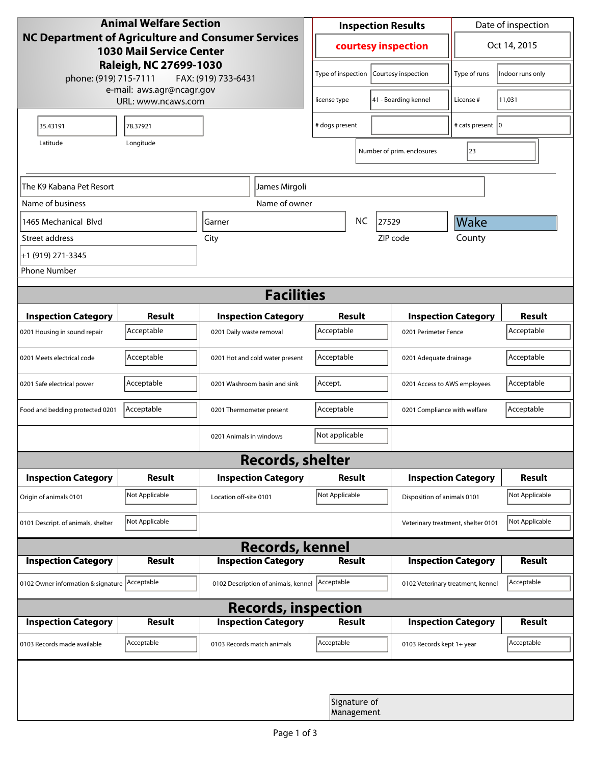| <b>Animal Welfare Section</b><br>NC Department of Agriculture and Consumer Services<br><b>1030 Mail Service Center</b><br>Raleigh, NC 27699-1030<br>phone: (919) 715-7111<br>FAX: (919) 733-6431 |                |                                     | <b>Inspection Results</b>                 |  |                                   | Date of inspection          |               |  |
|--------------------------------------------------------------------------------------------------------------------------------------------------------------------------------------------------|----------------|-------------------------------------|-------------------------------------------|--|-----------------------------------|-----------------------------|---------------|--|
|                                                                                                                                                                                                  |                |                                     | courtesy inspection                       |  |                                   | Oct 14, 2015                |               |  |
|                                                                                                                                                                                                  |                |                                     | Type of inspection<br>Courtesy inspection |  | Type of runs                      | Indoor runs only            |               |  |
| e-mail: aws.agr@ncagr.gov<br>URL: www.ncaws.com                                                                                                                                                  |                |                                     | license type                              |  | 41 - Boarding kennel              | License #                   | 11,031        |  |
| 35.43191                                                                                                                                                                                         | 78.37921       |                                     | # dogs present                            |  |                                   | # cats present   0          |               |  |
| Latitude                                                                                                                                                                                         | Longitude      |                                     |                                           |  | Number of prim. enclosures        | 23                          |               |  |
| The K9 Kabana Pet Resort<br>James Mirgoli                                                                                                                                                        |                |                                     |                                           |  |                                   |                             |               |  |
| Name of business                                                                                                                                                                                 |                | Name of owner                       |                                           |  |                                   |                             |               |  |
| 1465 Mechanical Blyd                                                                                                                                                                             |                | Garner                              | <b>NC</b><br>27529                        |  |                                   | Wake                        |               |  |
| Street address                                                                                                                                                                                   |                | City                                |                                           |  | ZIP code                          | County                      |               |  |
| +1 (919) 271-3345                                                                                                                                                                                |                |                                     |                                           |  |                                   |                             |               |  |
| <b>Phone Number</b>                                                                                                                                                                              |                |                                     |                                           |  |                                   |                             |               |  |
| <b>Facilities</b>                                                                                                                                                                                |                |                                     |                                           |  |                                   |                             |               |  |
| <b>Inspection Category</b>                                                                                                                                                                       | <b>Result</b>  | <b>Inspection Category</b>          | Result                                    |  |                                   | <b>Inspection Category</b>  | <b>Result</b> |  |
| 0201 Housing in sound repair                                                                                                                                                                     | Acceptable     | 0201 Daily waste removal            | Acceptable                                |  | 0201 Perimeter Fence              |                             | Acceptable    |  |
| 0201 Meets electrical code                                                                                                                                                                       | Acceptable     | 0201 Hot and cold water present     | Acceptable<br>0201 Adequate drainage      |  |                                   | Acceptable                  |               |  |
| 0201 Safe electrical power                                                                                                                                                                       | Acceptable     | 0201 Washroom basin and sink        | Accept.                                   |  | 0201 Access to AWS employees      |                             | Acceptable    |  |
| Food and bedding protected 0201                                                                                                                                                                  | Acceptable     | 0201 Thermometer present            | Acceptable                                |  | 0201 Compliance with welfare      |                             | Acceptable    |  |
|                                                                                                                                                                                                  |                | 0201 Animals in windows             | Not applicable                            |  |                                   |                             |               |  |
| <b>Records, shelter</b>                                                                                                                                                                          |                |                                     |                                           |  |                                   |                             |               |  |
| <b>Inspection Category</b>                                                                                                                                                                       | Result         | <b>Inspection Category</b>          | Result                                    |  |                                   | <b>Inspection Category</b>  |               |  |
| Origin of animals 0101                                                                                                                                                                           | Not Applicable | Location off-site 0101              | Not Applicable                            |  |                                   | Disposition of animals 0101 |               |  |
| 0101 Descript. of animals, shelter                                                                                                                                                               | Not Applicable |                                     | Veterinary treatment, shelter 0101        |  |                                   | Not Applicable              |               |  |
| <b>Records, kennel</b>                                                                                                                                                                           |                |                                     |                                           |  |                                   |                             |               |  |
| <b>Inspection Category</b>                                                                                                                                                                       | <b>Result</b>  | <b>Inspection Category</b>          | <b>Result</b>                             |  |                                   | <b>Inspection Category</b>  | <b>Result</b> |  |
| 0102 Owner information & signature Acceptable                                                                                                                                                    |                | 0102 Description of animals, kennel | Acceptable                                |  | 0102 Veterinary treatment, kennel |                             | Acceptable    |  |
| <b>Records, inspection</b>                                                                                                                                                                       |                |                                     |                                           |  |                                   |                             |               |  |
| <b>Inspection Category</b>                                                                                                                                                                       | <b>Result</b>  | <b>Inspection Category</b>          | Result                                    |  |                                   | <b>Inspection Category</b>  | <b>Result</b> |  |
| 0103 Records made available                                                                                                                                                                      | Acceptable     | 0103 Records match animals          | Acceptable                                |  | 0103 Records kept 1+ year         |                             | Acceptable    |  |
|                                                                                                                                                                                                  |                |                                     |                                           |  |                                   |                             |               |  |
| Signature of<br>Management                                                                                                                                                                       |                |                                     |                                           |  |                                   |                             |               |  |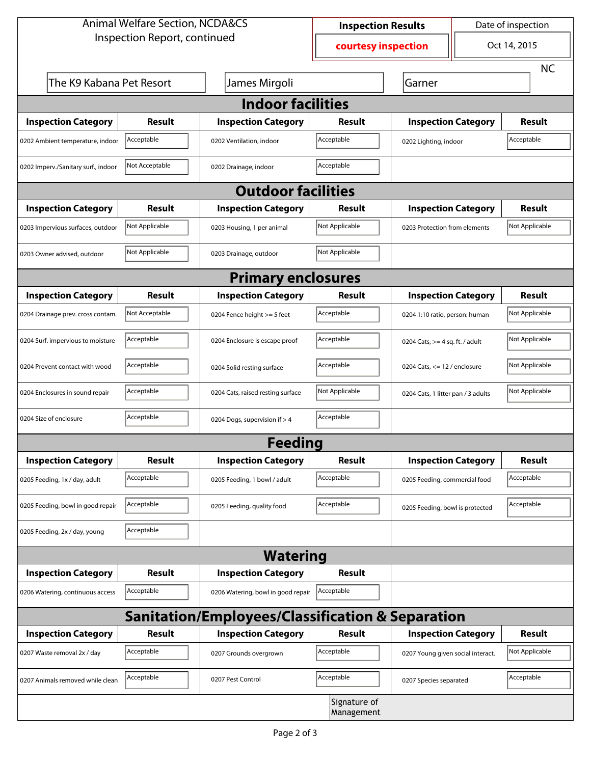| <b>Animal Welfare Section, NCDA&amp;CS</b>                  |                |                                    | <b>Inspection Results</b>  |                                     | Date of inspection |                |  |  |
|-------------------------------------------------------------|----------------|------------------------------------|----------------------------|-------------------------------------|--------------------|----------------|--|--|
| Inspection Report, continued                                |                |                                    | courtesy inspection        |                                     | Oct 14, 2015       |                |  |  |
|                                                             |                |                                    |                            |                                     |                    | <b>NC</b>      |  |  |
| The K9 Kabana Pet Resort                                    |                | James Mirgoli                      |                            | Garner                              |                    |                |  |  |
| <b>Indoor facilities</b>                                    |                |                                    |                            |                                     |                    |                |  |  |
| <b>Inspection Category</b>                                  | Result         | <b>Inspection Category</b>         | Result                     | <b>Inspection Category</b>          |                    | Result         |  |  |
| 0202 Ambient temperature, indoor                            | Acceptable     | 0202 Ventilation, indoor           | Acceptable                 | Acceptable<br>0202 Lighting, indoor |                    |                |  |  |
| 0202 Imperv./Sanitary surf., indoor                         | Not Acceptable | 0202 Drainage, indoor              | Acceptable                 |                                     |                    |                |  |  |
| <b>Outdoor facilities</b>                                   |                |                                    |                            |                                     |                    |                |  |  |
| <b>Inspection Category</b>                                  | <b>Result</b>  | <b>Inspection Category</b>         | Result                     | <b>Inspection Category</b>          |                    | <b>Result</b>  |  |  |
| 0203 Impervious surfaces, outdoor                           | Not Applicable | 0203 Housing, 1 per animal         | Not Applicable             | 0203 Protection from elements       |                    | Not Applicable |  |  |
| 0203 Owner advised, outdoor                                 | Not Applicable | 0203 Drainage, outdoor             | Not Applicable             |                                     |                    |                |  |  |
| <b>Primary enclosures</b>                                   |                |                                    |                            |                                     |                    |                |  |  |
| <b>Inspection Category</b>                                  | <b>Result</b>  | <b>Inspection Category</b>         | Result                     | <b>Inspection Category</b>          |                    | <b>Result</b>  |  |  |
| 0204 Drainage prev. cross contam.                           | Not Acceptable | 0204 Fence height >= 5 feet        | Acceptable                 | 0204 1:10 ratio, person: human      |                    | Not Applicable |  |  |
| 0204 Surf. impervious to moisture                           | Acceptable     | 0204 Enclosure is escape proof     | Acceptable                 | 0204 Cats, $>=$ 4 sq. ft. / adult   |                    | Not Applicable |  |  |
| 0204 Prevent contact with wood                              | Acceptable     | 0204 Solid resting surface         | Acceptable                 | 0204 Cats, $<= 12$ / enclosure      |                    | Not Applicable |  |  |
| 0204 Enclosures in sound repair                             | Acceptable     | 0204 Cats, raised resting surface  | Not Applicable             | 0204 Cats, 1 litter pan / 3 adults  |                    | Not Applicable |  |  |
| 0204 Size of enclosure                                      | Acceptable     | 0204 Dogs, supervision if > 4      | Acceptable                 |                                     |                    |                |  |  |
|                                                             |                | Feeding                            |                            |                                     |                    |                |  |  |
| <b>Inspection Category</b>                                  | <b>Result</b>  | <b>Inspection Category</b>         | <b>Result</b>              | <b>Inspection Category</b>          |                    | <b>Result</b>  |  |  |
| 0205 Feeding, 1x / day, adult                               | Acceptable     | 0205 Feeding, 1 bowl / adult       | Acceptable                 | 0205 Feeding, commercial food       |                    | Acceptable     |  |  |
| 0205 Feeding, bowl in good repair                           | Acceptable     | 0205 Feeding, quality food         | Acceptable                 | 0205 Feeding, bowl is protected     |                    | Acceptable     |  |  |
| 0205 Feeding, 2x / day, young                               | Acceptable     |                                    |                            |                                     |                    |                |  |  |
|                                                             |                | <b>Watering</b>                    |                            |                                     |                    |                |  |  |
| <b>Inspection Category</b>                                  | <b>Result</b>  | <b>Inspection Category</b>         | <b>Result</b>              |                                     |                    |                |  |  |
| 0206 Watering, continuous access                            | Acceptable     | 0206 Watering, bowl in good repair | Acceptable                 |                                     |                    |                |  |  |
| <b>Sanitation/Employees/Classification &amp; Separation</b> |                |                                    |                            |                                     |                    |                |  |  |
| <b>Inspection Category</b>                                  | <b>Result</b>  | <b>Inspection Category</b>         | <b>Result</b>              | <b>Inspection Category</b>          |                    | <b>Result</b>  |  |  |
| 0207 Waste removal 2x / day                                 | Acceptable     | 0207 Grounds overgrown             | Acceptable                 | 0207 Young given social interact.   |                    | Not Applicable |  |  |
| 0207 Animals removed while clean                            | Acceptable     | 0207 Pest Control                  | Acceptable                 | 0207 Species separated              |                    | Acceptable     |  |  |
|                                                             |                |                                    | Signature of<br>Management |                                     |                    |                |  |  |